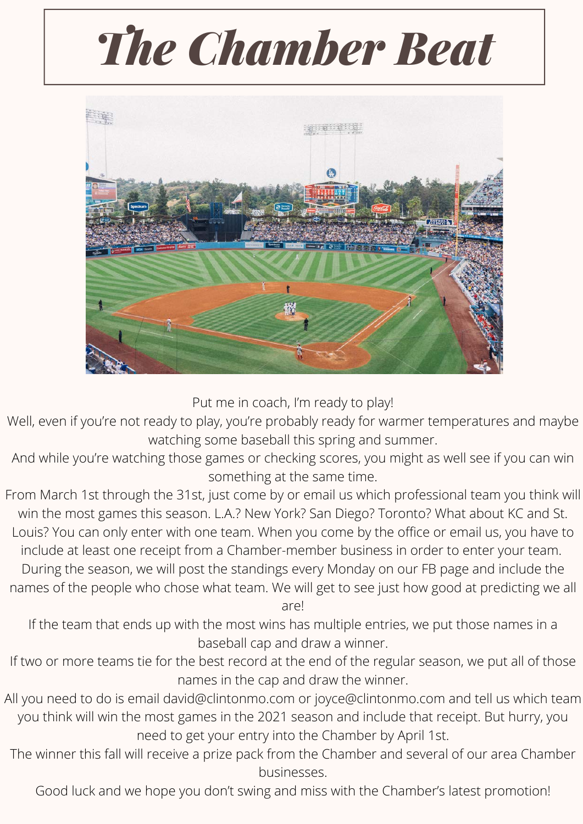# *The Chamber Beat*



Put me in coach, I'm ready to play!

Well, even if you're not ready to play, you're probably ready for warmer temperatures and maybe watching some baseball this spring and summer.

And while you're watching those games or checking scores, you might as well see if you can win something at the same time.

From March 1st through the 31st, just come by or email us which professional team you think will win the most games this season. L.A.? New York? San Diego? Toronto? What about KC and St. Louis? You can only enter with one team. When you come by the office or email us, you have to include at least one receipt from a Chamber-member business in order to enter your team. During the season, we will post the standings every Monday on our FB page and include the names of the people who chose what team. We will get to see just how good at predicting we all

are!

If the team that ends up with the most wins has multiple entries, we put those names in a baseball cap and draw a winner.

- If two or more teams tie for the best record at the end of the regular season, we put all of those names in the cap and draw the winner.
- All you need to do is email [david@clintonmo.com](mailto:david@clintonmo.com) or [joyce@clintonmo.com](mailto:joyce@clintonmo.com) and tell us which team you think will win the most games in the 2021 season and include that receipt. But hurry, you need to get your entry into the Chamber by April 1st.
- The winner this fall will receive a prize pack from the Chamber and several of our area Chamber businesses.

Good luck and we hope you don't swing and miss with the Chamber's latest promotion!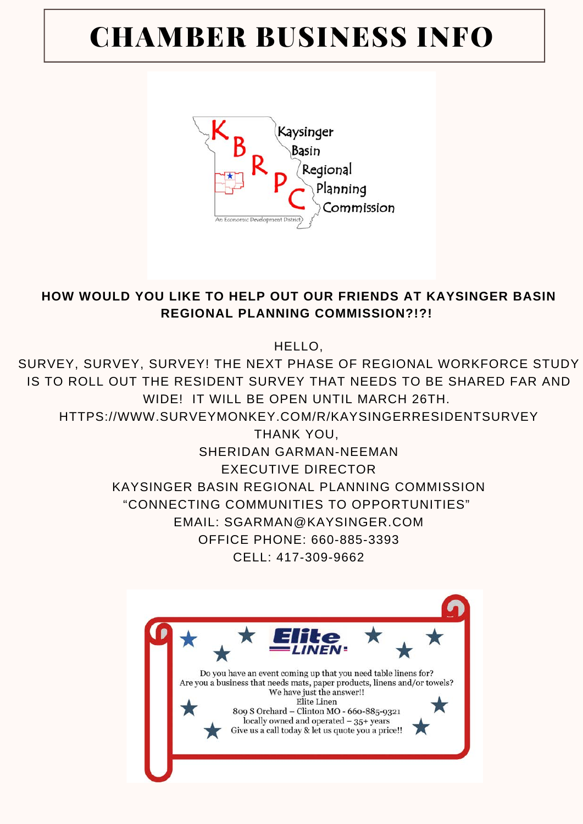## CHAMBER BUSINESS INFO



#### **HOW WOULD YOU LIKE TO HELP OUT OUR FRIENDS AT KAYSINGER BASIN REGIONAL PLANNING COMMISSION?!?!**

HELLO,

SURVEY, SURVEY, SURVEY! THE NEXT PHASE OF REGIONAL WORKFORCE STUDY IS TO ROLL OUT THE RESIDENT SURVEY THAT NEEDS TO BE SHARED FAR AND WIDE! IT WILL BE OPEN UNTIL MARCH 26TH.

HTTPS://WWW.SURVEYMONKEY.COM/R/KAYSINGERRESIDENTSURVEY

THANK YOU, SHERIDAN GARMAN-NEEMAN EXECUTIVE DIRECTOR KAYSINGER BASIN REGIONAL PLANNING COMMISSION "CONNECTING COMMUNITIES TO OPPORTUNITIES" EMAIL: SGARMAN@KAYSINGER.COM OFFICE PHONE: 660-885-3393 CELL: 417-309-9662

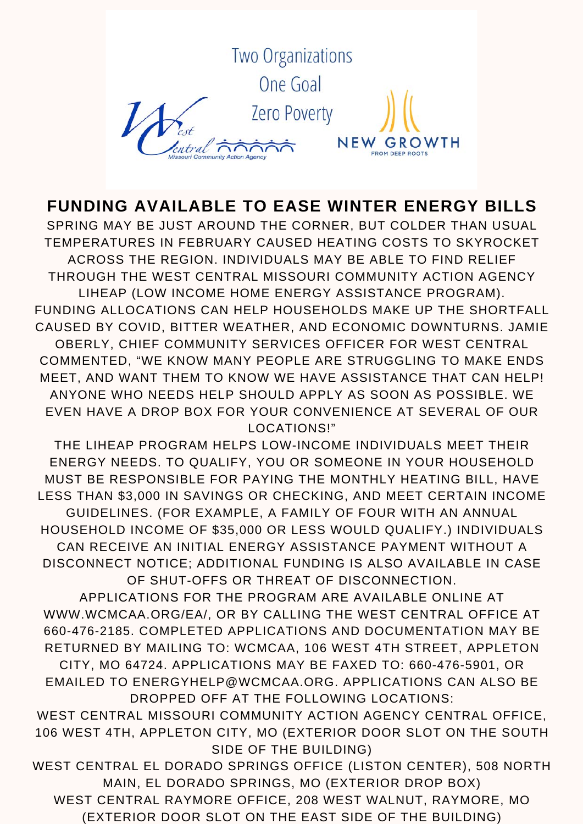

#### **FUNDING AVAILABLE TO EASE WINTER ENERGY BILLS**

SPRING MAY BE JUST AROUND THE CORNER, BUT COLDER THAN USUAL TEMPERATURES IN FEBRUARY CAUSED HEATING COSTS TO SKYROCKET ACROSS THE REGION. INDIVIDUALS MAY BE ABLE TO FIND RELIEF THROUGH THE WEST CENTRAL MISSOURI COMMUNITY ACTION AGENCY LIHEAP (LOW INCOME HOME ENERGY ASSISTANCE PROGRAM). FUNDING ALLOCATIONS CAN HELP HOUSEHOLDS MAKE UP THE SHORTFALL CAUSED BY COVID, BITTER WEATHER, AND ECONOMIC DOWNTURNS. JAMIE OBERLY, CHIEF COMMUNITY SERVICES OFFICER FOR WEST CENTRAL COMMENTED, "WE KNOW MANY PEOPLE ARE STRUGGLING TO MAKE ENDS MEET, AND WANT THEM TO KNOW WE HAVE ASSISTANCE THAT CAN HELP! ANYONE WHO NEEDS HELP SHOULD APPLY AS SOON AS POSSIBLE. WE EVEN HAVE A DROP BOX FOR YOUR CONVENIENCE AT SEVERAL OF OUR LOCATIONS!"

THE LIHEAP PROGRAM HELPS LOW-INCOME INDIVIDUALS MEET THEIR ENERGY NEEDS. TO QUALIFY, YOU OR SOMEONE IN YOUR HOUSEHOLD MUST BE RESPONSIBLE FOR PAYING THE MONTHLY HEATING BILL, HAVE LESS THAN \$3,000 IN SAVINGS OR CHECKING, AND MEET CERTAIN INCOME GUIDELINES. (FOR EXAMPLE, A FAMILY OF FOUR WITH AN ANNUAL HOUSEHOLD INCOME OF \$35,000 OR LESS WOULD QUALIFY.) INDIVIDUALS CAN RECEIVE AN INITIAL ENERGY ASSISTANCE PAYMENT WITHOUT A DISCONNECT NOTICE; ADDITIONAL FUNDING IS ALSO AVAILABLE IN CASE OF SHUT-OFFS OR THREAT OF DISCONNECTION.

APPLICATIONS FOR THE PROGRAM ARE AVAILABLE ONLINE AT WWW.WCMCAA.ORG/EA/, OR BY CALLING THE WEST CENTRAL OFFICE AT 660-476-2185. COMPLETED APPLICATIONS AND DOCUMENTATION MAY BE RETURNED BY MAILING TO: WCMCAA, 106 WEST 4TH STREET, APPLETON CITY, MO 64724. APPLICATIONS MAY BE FAXED TO: 660-476-5901, OR EMAILED TO ENERGYHELP@WCMCAA.ORG. APPLICATIONS CAN ALSO BE DROPPED OFF AT THE FOLLOWING LOCATIONS:

WEST CENTRAL MISSOURI COMMUNITY ACTION AGENCY CENTRAL OFFICE, 106 WEST 4TH, APPLETON CITY, MO (EXTERIOR DOOR SLOT ON THE SOUTH SIDE OF THE BUILDING)

WEST CENTRAL EL DORADO SPRINGS OFFICE (LISTON CENTER), 508 NORTH MAIN, EL DORADO SPRINGS, MO (EXTERIOR DROP BOX) WEST CENTRAL RAYMORE OFFICE, 208 WEST WALNUT, RAYMORE, MO

(EXTERIOR DOOR SLOT ON THE EAST SIDE OF THE BUILDING)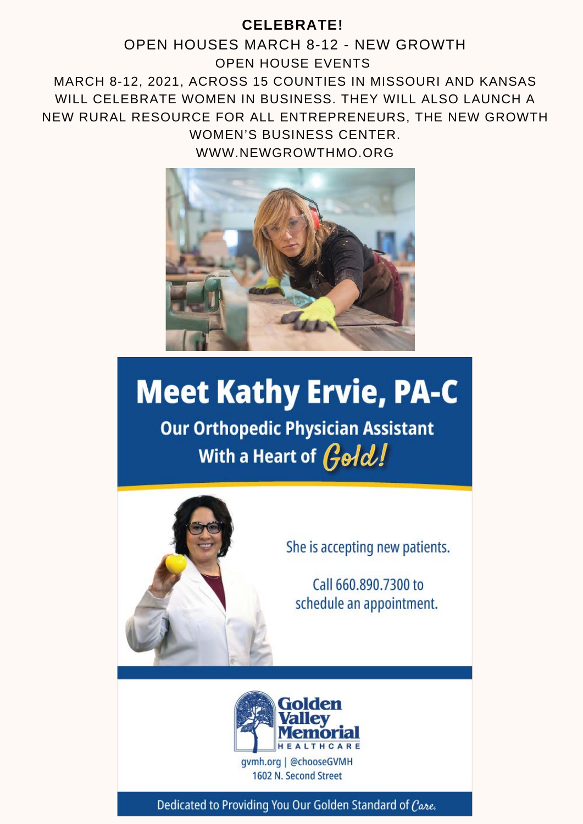#### **CELEBRATE!**

OPEN HOUSES MARCH 8-12 - NEW GROWTH OPEN HOUSE EVENTS MARCH 8-12, 2021, ACROSS 15 COUNTIES IN MISSOURI AND KANSAS WILL CELEBRATE WOMEN IN BUSINESS. THEY WILL ALSO LAUNCH A NEW RURAL RESOURCE FOR ALL ENTREPRENEURS, THE NEW GROWTH WOMEN'S BUSINESS CENTER.

WWW.NEWGROWTHMO.ORG



# **Meet Kathy Ervie, PA-C**

**Our Orthopedic Physician Assistant** With a Heart of Gold!



She is accepting new patients.

Call 660,890,7300 to schedule an appointment.



Dedicated to Providing You Our Golden Standard of Care.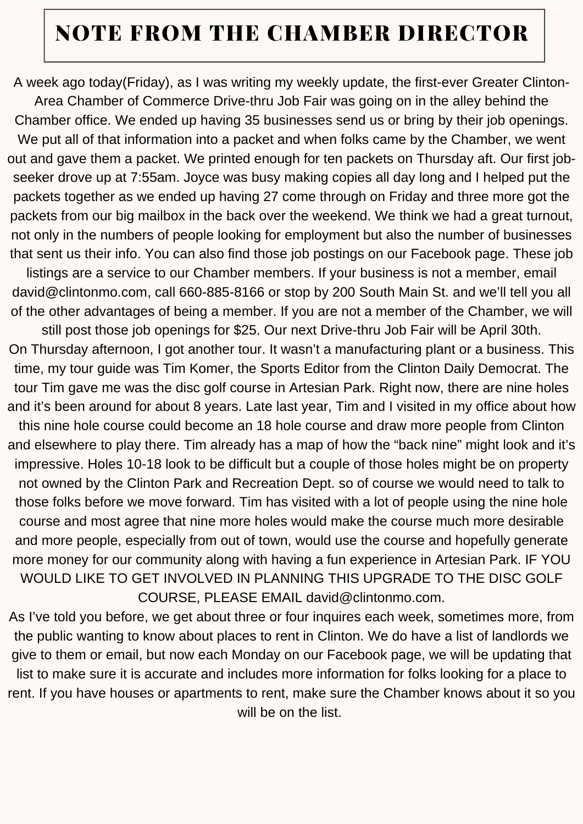### NOTE FROM THE CHAMBER DIRECTOR

A week ago today(Friday), as I was writing my weekly update, the first-ever Greater Clinton-

Area Chamber of Commerce Drive-thru Job Fair was going on in the alley behind the Chamber office. We ended up having 35 businesses send us or bring by their job openings. We put all of that information into a packet and when folks came by the Chamber, we went out and gave them a packet. We printed enough for ten packets on Thursday aft. Our first jobseeker drove up at 7:55am. Joyce was busy making copies all day long and I helped put the packets together as we ended up having 27 come through on Friday and three more got the packets from our big mailbox in the back over the weekend. We think we had a great turnout, not only in the numbers of people looking for employment but also the number of businesses that sent us their info. You can also find those job postings on our Facebook page. These job

listings are a service to our Chamber members. If your business is not a member, email david@clintonmo.com, call 660-885-8166 or stop by 200 South Main St. and we'll tell you all of the other advantages of being a member. If you are not a member of the Chamber, we will

still post those job openings for \$25. Our next Drive-thru Job Fair will be April 30th. On Thursday afternoon, I got another tour. It wasn't a manufacturing plant or a business. This time, my tour guide was Tim Komer, the Sports Editor from the Clinton Daily Democrat. The tour Tim gave me was the disc golf course in Artesian Park. Right now, there are nine holes and it's been around for about 8 years. Late last year, Tim and I visited in my office about how

this nine hole course could become an 18 hole course and draw more people from Clinton and elsewhere to play there. Tim already has a map of how the "back nine" might look and it's impressive. Holes 10-18 look to be difficult but a couple of those holes might be on property not owned by the Clinton Park and Recreation Dept. so of course we would need to talk to those folks before we move forward. Tim has visited with a lot of people using the nine hole course and most agree that nine more holes would make the course much more desirable and more people, especially from out of town, would use the course and hopefully generate more money for our community along with having a fun experience in Artesian Park. IF YOU WOULD LIKE TO GET INVOLVED IN PLANNING THIS UPGRADE TO THE DISC GOLF COURSE, PLEASE EMAIL david@clintonmo.com.

As I've told you before, we get about three or four inquires each week, sometimes more, from the public wanting to know about places to rent in Clinton. We do have a list of landlords we give to them or email, but now each Monday on our Facebook page, we will be updating that list to make sure it is accurate and includes more information for folks looking for a place to rent. If you have houses or apartments to rent, make sure the Chamber knows about it so you will be on the list.